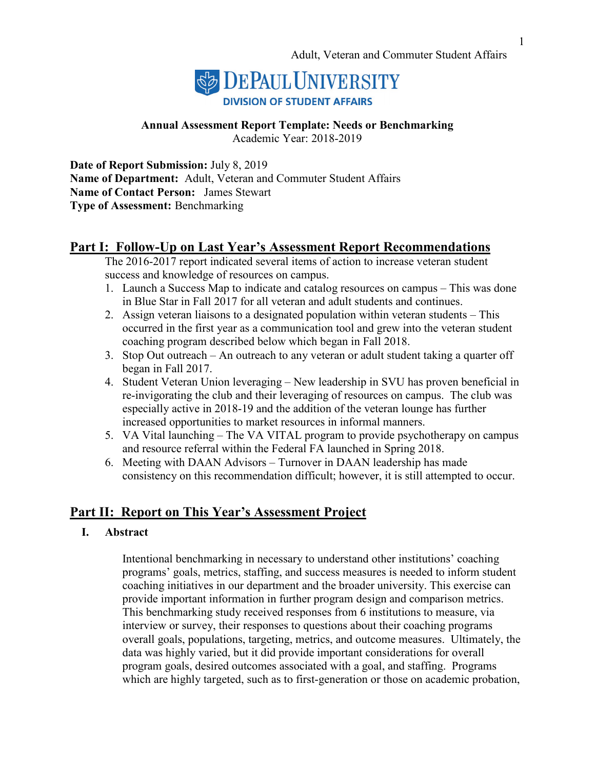

# **Annual Assessment Report Template: Needs or Benchmarking**

Academic Year: 2018-2019

**Date of Report Submission:** July 8, 2019 **Name of Department:** Adult, Veteran and Commuter Student Affairs **Name of Contact Person:** James Stewart **Type of Assessment:** Benchmarking

# **Part I: Follow-Up on Last Year's Assessment Report Recommendations**

The 2016-2017 report indicated several items of action to increase veteran student success and knowledge of resources on campus.

- 1. Launch a Success Map to indicate and catalog resources on campus This was done in Blue Star in Fall 2017 for all veteran and adult students and continues.
- 2. Assign veteran liaisons to a designated population within veteran students This occurred in the first year as a communication tool and grew into the veteran student coaching program described below which began in Fall 2018.
- 3. Stop Out outreach An outreach to any veteran or adult student taking a quarter off began in Fall 2017.
- 4. Student Veteran Union leveraging New leadership in SVU has proven beneficial in re-invigorating the club and their leveraging of resources on campus. The club was especially active in 2018-19 and the addition of the veteran lounge has further increased opportunities to market resources in informal manners.
- 5. VA Vital launching The VA VITAL program to provide psychotherapy on campus and resource referral within the Federal FA launched in Spring 2018.
- 6. Meeting with DAAN Advisors Turnover in DAAN leadership has made consistency on this recommendation difficult; however, it is still attempted to occur.

# **Part II: Report on This Year's Assessment Project**

# **I. Abstract**

Intentional benchmarking in necessary to understand other institutions' coaching programs' goals, metrics, staffing, and success measures is needed to inform student coaching initiatives in our department and the broader university. This exercise can provide important information in further program design and comparison metrics. This benchmarking study received responses from 6 institutions to measure, via interview or survey, their responses to questions about their coaching programs overall goals, populations, targeting, metrics, and outcome measures. Ultimately, the data was highly varied, but it did provide important considerations for overall program goals, desired outcomes associated with a goal, and staffing. Programs which are highly targeted, such as to first-generation or those on academic probation,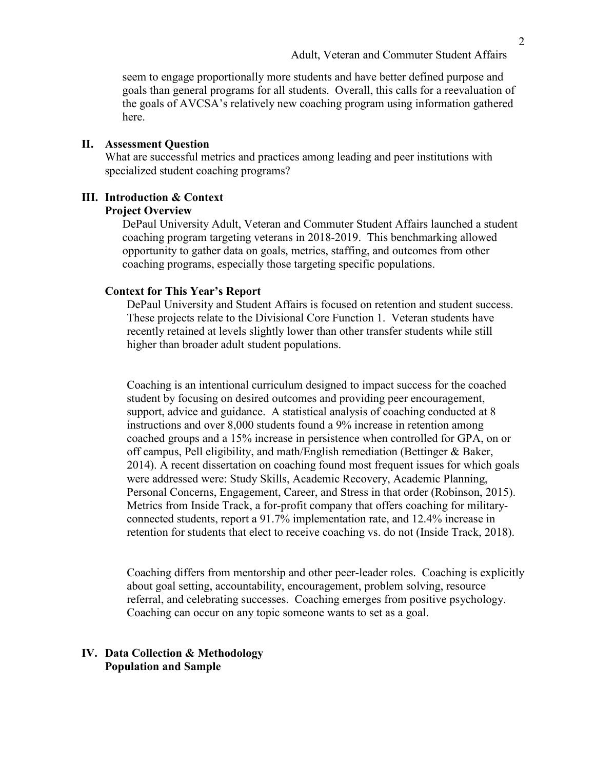seem to engage proportionally more students and have better defined purpose and goals than general programs for all students. Overall, this calls for a reevaluation of the goals of AVCSA's relatively new coaching program using information gathered here.

#### **II. Assessment Question**

What are successful metrics and practices among leading and peer institutions with specialized student coaching programs?

# **III. Introduction & Context**

#### **Project Overview**

DePaul University Adult, Veteran and Commuter Student Affairs launched a student coaching program targeting veterans in 2018-2019. This benchmarking allowed opportunity to gather data on goals, metrics, staffing, and outcomes from other coaching programs, especially those targeting specific populations.

#### **Context for This Year's Report**

DePaul University and Student Affairs is focused on retention and student success. These projects relate to the Divisional Core Function 1. Veteran students have recently retained at levels slightly lower than other transfer students while still higher than broader adult student populations.

Coaching is an intentional curriculum designed to impact success for the coached student by focusing on desired outcomes and providing peer encouragement, support, advice and guidance. A statistical analysis of coaching conducted at 8 instructions and over 8,000 students found a 9% increase in retention among coached groups and a 15% increase in persistence when controlled for GPA, on or off campus, Pell eligibility, and math/English remediation (Bettinger & Baker, 2014). A recent dissertation on coaching found most frequent issues for which goals were addressed were: Study Skills, Academic Recovery, Academic Planning, Personal Concerns, Engagement, Career, and Stress in that order (Robinson, 2015). Metrics from Inside Track, a for-profit company that offers coaching for militaryconnected students, report a 91.7% implementation rate, and 12.4% increase in retention for students that elect to receive coaching vs. do not (Inside Track, 2018).

Coaching differs from mentorship and other peer-leader roles. Coaching is explicitly about goal setting, accountability, encouragement, problem solving, resource referral, and celebrating successes. Coaching emerges from positive psychology. Coaching can occur on any topic someone wants to set as a goal.

## **IV. Data Collection & Methodology Population and Sample**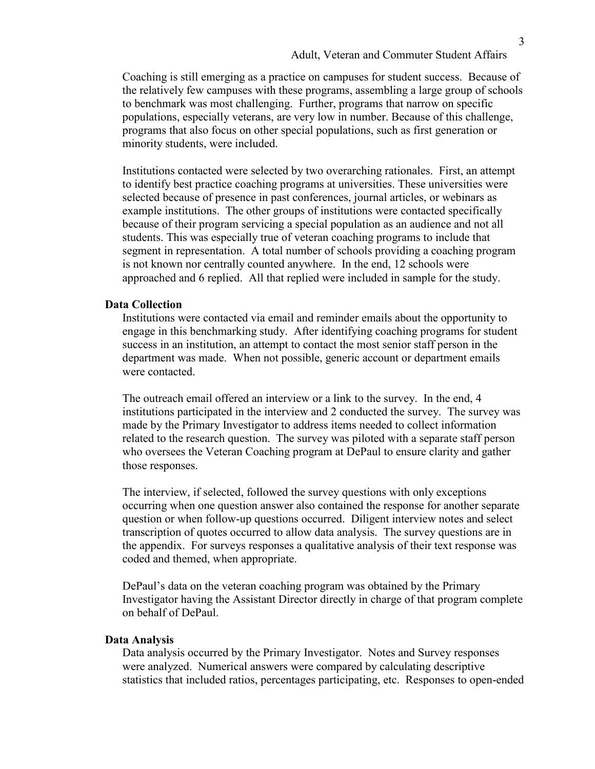Coaching is still emerging as a practice on campuses for student success. Because of the relatively few campuses with these programs, assembling a large group of schools to benchmark was most challenging. Further, programs that narrow on specific populations, especially veterans, are very low in number. Because of this challenge, programs that also focus on other special populations, such as first generation or minority students, were included.

Institutions contacted were selected by two overarching rationales. First, an attempt to identify best practice coaching programs at universities. These universities were selected because of presence in past conferences, journal articles, or webinars as example institutions. The other groups of institutions were contacted specifically because of their program servicing a special population as an audience and not all students. This was especially true of veteran coaching programs to include that segment in representation. A total number of schools providing a coaching program is not known nor centrally counted anywhere. In the end, 12 schools were approached and 6 replied. All that replied were included in sample for the study.

#### **Data Collection**

Institutions were contacted via email and reminder emails about the opportunity to engage in this benchmarking study. After identifying coaching programs for student success in an institution, an attempt to contact the most senior staff person in the department was made. When not possible, generic account or department emails were contacted.

The outreach email offered an interview or a link to the survey. In the end, 4 institutions participated in the interview and 2 conducted the survey. The survey was made by the Primary Investigator to address items needed to collect information related to the research question. The survey was piloted with a separate staff person who oversees the Veteran Coaching program at DePaul to ensure clarity and gather those responses.

The interview, if selected, followed the survey questions with only exceptions occurring when one question answer also contained the response for another separate question or when follow-up questions occurred. Diligent interview notes and select transcription of quotes occurred to allow data analysis. The survey questions are in the appendix. For surveys responses a qualitative analysis of their text response was coded and themed, when appropriate.

DePaul's data on the veteran coaching program was obtained by the Primary Investigator having the Assistant Director directly in charge of that program complete on behalf of DePaul.

#### **Data Analysis**

Data analysis occurred by the Primary Investigator. Notes and Survey responses were analyzed. Numerical answers were compared by calculating descriptive statistics that included ratios, percentages participating, etc. Responses to open-ended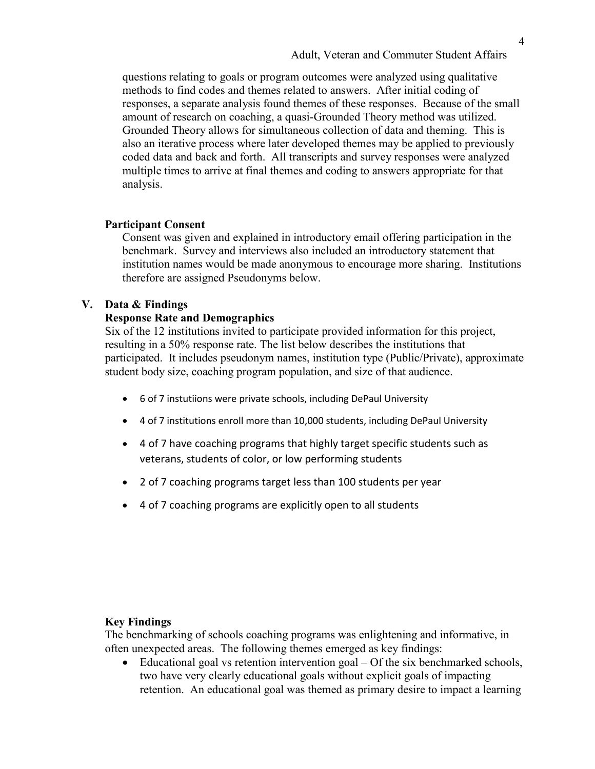questions relating to goals or program outcomes were analyzed using qualitative methods to find codes and themes related to answers. After initial coding of responses, a separate analysis found themes of these responses. Because of the small amount of research on coaching, a quasi-Grounded Theory method was utilized. Grounded Theory allows for simultaneous collection of data and theming. This is also an iterative process where later developed themes may be applied to previously coded data and back and forth. All transcripts and survey responses were analyzed multiple times to arrive at final themes and coding to answers appropriate for that analysis.

# **Participant Consent**

Consent was given and explained in introductory email offering participation in the benchmark. Survey and interviews also included an introductory statement that institution names would be made anonymous to encourage more sharing. Institutions therefore are assigned Pseudonyms below.

## **V. Data & Findings**

## **Response Rate and Demographics**

Six of the 12 institutions invited to participate provided information for this project, resulting in a 50% response rate. The list below describes the institutions that participated. It includes pseudonym names, institution type (Public/Private), approximate student body size, coaching program population, and size of that audience.

- 6 of 7 instutiions were private schools, including DePaul University
- 4 of 7 institutions enroll more than 10,000 students, including DePaul University
- 4 of 7 have coaching programs that highly target specific students such as veterans, students of color, or low performing students
- 2 of 7 coaching programs target less than 100 students per year
- 4 of 7 coaching programs are explicitly open to all students

# **Key Findings**

The benchmarking of schools coaching programs was enlightening and informative, in often unexpected areas. The following themes emerged as key findings:

• Educational goal vs retention intervention goal – Of the six benchmarked schools, two have very clearly educational goals without explicit goals of impacting retention. An educational goal was themed as primary desire to impact a learning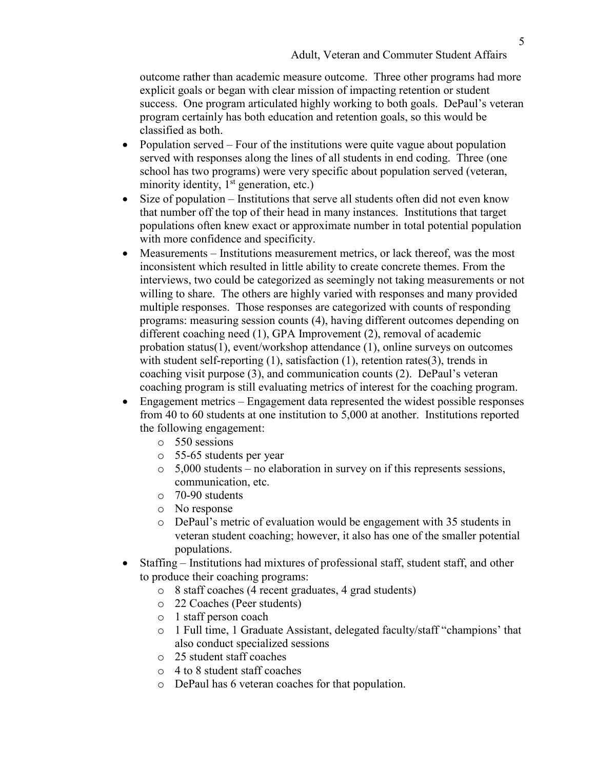outcome rather than academic measure outcome. Three other programs had more explicit goals or began with clear mission of impacting retention or student success. One program articulated highly working to both goals. DePaul's veteran program certainly has both education and retention goals, so this would be classified as both.

- Population served Four of the institutions were quite vague about population served with responses along the lines of all students in end coding. Three (one school has two programs) were very specific about population served (veteran, minority identity,  $1<sup>st</sup>$  generation, etc.)
- Size of population Institutions that serve all students often did not even know that number off the top of their head in many instances. Institutions that target populations often knew exact or approximate number in total potential population with more confidence and specificity.
- Measurements Institutions measurement metrics, or lack thereof, was the most inconsistent which resulted in little ability to create concrete themes. From the interviews, two could be categorized as seemingly not taking measurements or not willing to share. The others are highly varied with responses and many provided multiple responses. Those responses are categorized with counts of responding programs: measuring session counts (4), having different outcomes depending on different coaching need (1), GPA Improvement (2), removal of academic probation status(1), event/workshop attendance (1), online surveys on outcomes with student self-reporting (1), satisfaction (1), retention rates(3), trends in coaching visit purpose (3), and communication counts (2). DePaul's veteran coaching program is still evaluating metrics of interest for the coaching program.
- Engagement metrics Engagement data represented the widest possible responses from 40 to 60 students at one institution to 5,000 at another. Institutions reported the following engagement:
	- o 550 sessions
	- o 55-65 students per year
	- o 5,000 students no elaboration in survey on if this represents sessions, communication, etc.
	- o 70-90 students
	- o No response
	- o DePaul's metric of evaluation would be engagement with 35 students in veteran student coaching; however, it also has one of the smaller potential populations.
- Staffing Institutions had mixtures of professional staff, student staff, and other to produce their coaching programs:
	- o 8 staff coaches (4 recent graduates, 4 grad students)
	- o 22 Coaches (Peer students)
	- o 1 staff person coach
	- o 1 Full time, 1 Graduate Assistant, delegated faculty/staff "champions' that also conduct specialized sessions
	- o 25 student staff coaches
	- o 4 to 8 student staff coaches
	- o DePaul has 6 veteran coaches for that population.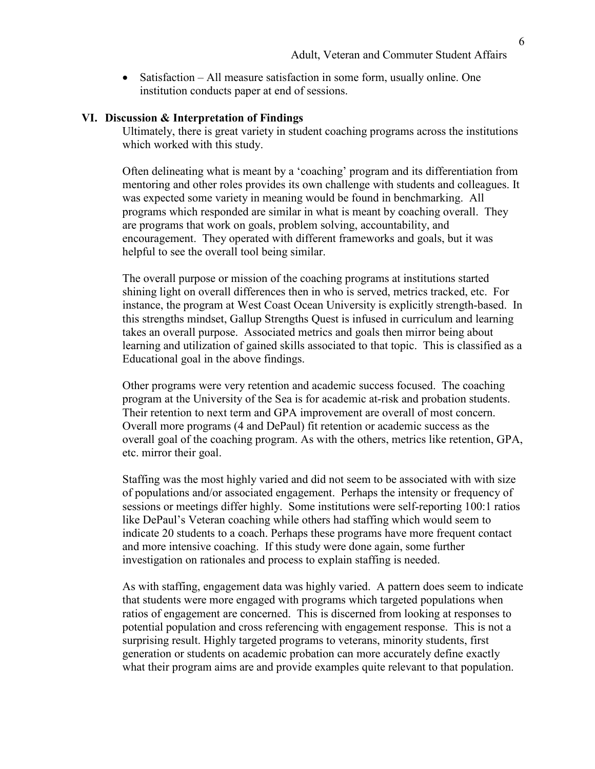• Satisfaction – All measure satisfaction in some form, usually online. One institution conducts paper at end of sessions.

#### **VI. Discussion & Interpretation of Findings**

Ultimately, there is great variety in student coaching programs across the institutions which worked with this study.

Often delineating what is meant by a 'coaching' program and its differentiation from mentoring and other roles provides its own challenge with students and colleagues. It was expected some variety in meaning would be found in benchmarking. All programs which responded are similar in what is meant by coaching overall. They are programs that work on goals, problem solving, accountability, and encouragement. They operated with different frameworks and goals, but it was helpful to see the overall tool being similar.

The overall purpose or mission of the coaching programs at institutions started shining light on overall differences then in who is served, metrics tracked, etc. For instance, the program at West Coast Ocean University is explicitly strength-based. In this strengths mindset, Gallup Strengths Quest is infused in curriculum and learning takes an overall purpose. Associated metrics and goals then mirror being about learning and utilization of gained skills associated to that topic. This is classified as a Educational goal in the above findings.

Other programs were very retention and academic success focused. The coaching program at the University of the Sea is for academic at-risk and probation students. Their retention to next term and GPA improvement are overall of most concern. Overall more programs (4 and DePaul) fit retention or academic success as the overall goal of the coaching program. As with the others, metrics like retention, GPA, etc. mirror their goal.

Staffing was the most highly varied and did not seem to be associated with with size of populations and/or associated engagement. Perhaps the intensity or frequency of sessions or meetings differ highly. Some institutions were self-reporting 100:1 ratios like DePaul's Veteran coaching while others had staffing which would seem to indicate 20 students to a coach. Perhaps these programs have more frequent contact and more intensive coaching. If this study were done again, some further investigation on rationales and process to explain staffing is needed.

As with staffing, engagement data was highly varied. A pattern does seem to indicate that students were more engaged with programs which targeted populations when ratios of engagement are concerned. This is discerned from looking at responses to potential population and cross referencing with engagement response. This is not a surprising result. Highly targeted programs to veterans, minority students, first generation or students on academic probation can more accurately define exactly what their program aims are and provide examples quite relevant to that population.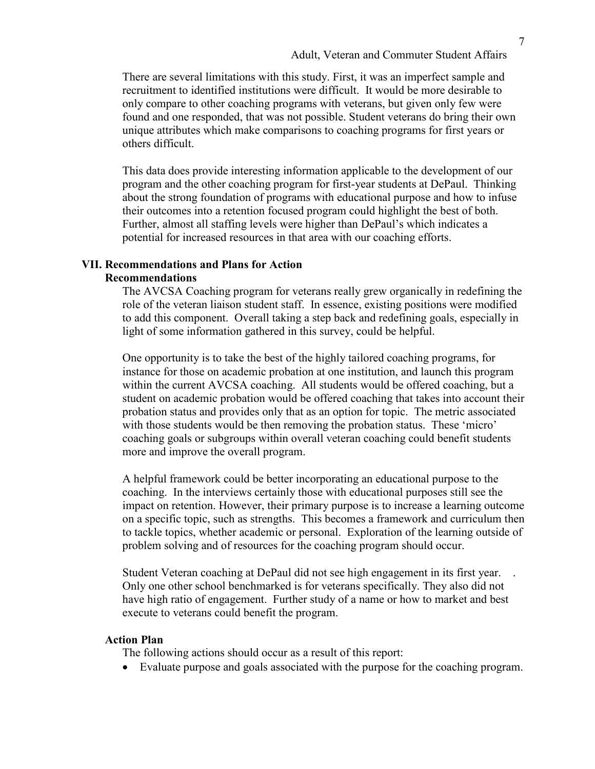There are several limitations with this study. First, it was an imperfect sample and recruitment to identified institutions were difficult. It would be more desirable to only compare to other coaching programs with veterans, but given only few were found and one responded, that was not possible. Student veterans do bring their own unique attributes which make comparisons to coaching programs for first years or others difficult.

This data does provide interesting information applicable to the development of our program and the other coaching program for first-year students at DePaul. Thinking about the strong foundation of programs with educational purpose and how to infuse their outcomes into a retention focused program could highlight the best of both. Further, almost all staffing levels were higher than DePaul's which indicates a potential for increased resources in that area with our coaching efforts.

# **VII. Recommendations and Plans for Action**

# **Recommendations**

The AVCSA Coaching program for veterans really grew organically in redefining the role of the veteran liaison student staff. In essence, existing positions were modified to add this component. Overall taking a step back and redefining goals, especially in light of some information gathered in this survey, could be helpful.

One opportunity is to take the best of the highly tailored coaching programs, for instance for those on academic probation at one institution, and launch this program within the current AVCSA coaching. All students would be offered coaching, but a student on academic probation would be offered coaching that takes into account their probation status and provides only that as an option for topic. The metric associated with those students would be then removing the probation status. These 'micro' coaching goals or subgroups within overall veteran coaching could benefit students more and improve the overall program.

A helpful framework could be better incorporating an educational purpose to the coaching. In the interviews certainly those with educational purposes still see the impact on retention. However, their primary purpose is to increase a learning outcome on a specific topic, such as strengths. This becomes a framework and curriculum then to tackle topics, whether academic or personal. Exploration of the learning outside of problem solving and of resources for the coaching program should occur.

Student Veteran coaching at DePaul did not see high engagement in its first year. . Only one other school benchmarked is for veterans specifically. They also did not have high ratio of engagement. Further study of a name or how to market and best execute to veterans could benefit the program.

## **Action Plan**

The following actions should occur as a result of this report:

• Evaluate purpose and goals associated with the purpose for the coaching program.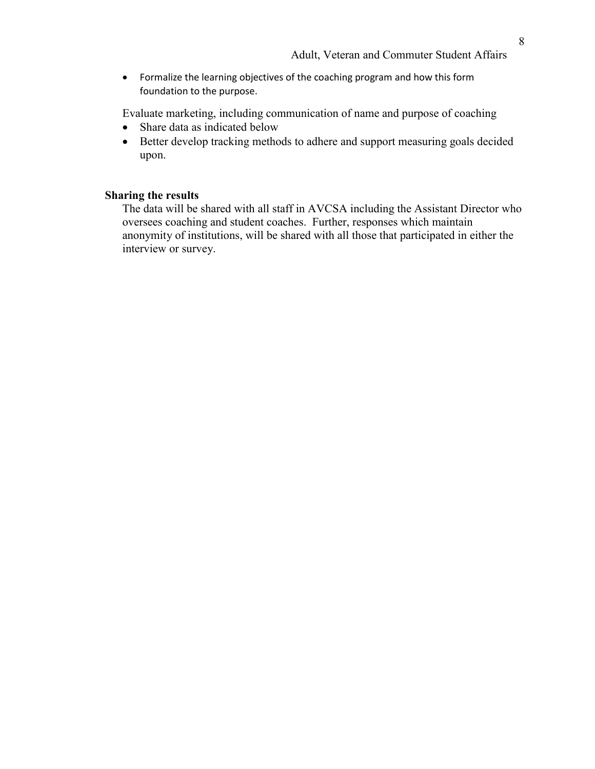• Formalize the learning objectives of the coaching program and how this form foundation to the purpose.

Evaluate marketing, including communication of name and purpose of coaching

- Share data as indicated below
- Better develop tracking methods to adhere and support measuring goals decided upon.

# **Sharing the results**

The data will be shared with all staff in AVCSA including the Assistant Director who oversees coaching and student coaches. Further, responses which maintain anonymity of institutions, will be shared with all those that participated in either the interview or survey.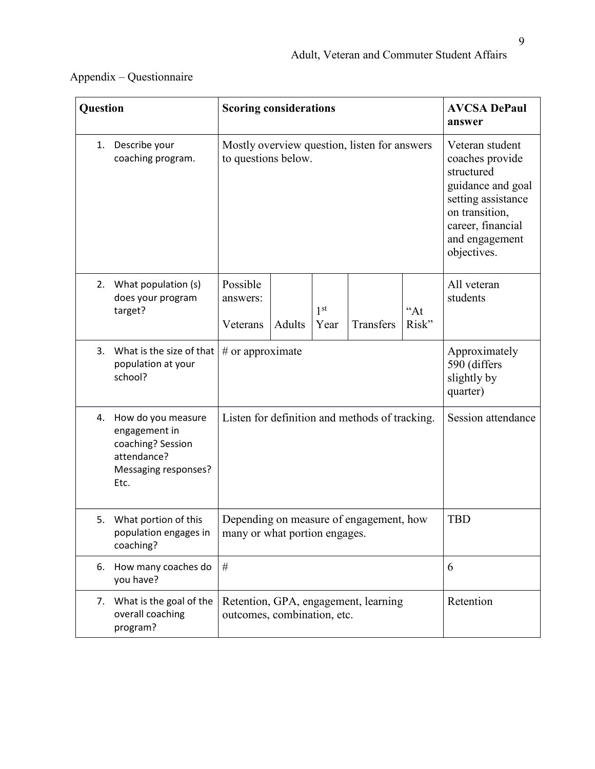# Appendix – Questionnaire

| Question                                                                                                      | <b>Scoring considerations</b>                                            |        |                                                                                                                                                                     | <b>AVCSA DePaul</b><br>answer |                |                         |
|---------------------------------------------------------------------------------------------------------------|--------------------------------------------------------------------------|--------|---------------------------------------------------------------------------------------------------------------------------------------------------------------------|-------------------------------|----------------|-------------------------|
| Describe your<br>1.<br>coaching program.                                                                      | Mostly overview question, listen for answers<br>to questions below.      |        | Veteran student<br>coaches provide<br>structured<br>guidance and goal<br>setting assistance<br>on transition,<br>career, financial<br>and engagement<br>objectives. |                               |                |                         |
| What population (s)<br>2.<br>does your program<br>target?                                                     | Possible<br>answers:<br>Veterans                                         | Adults | 1 <sup>st</sup><br>Year                                                                                                                                             | Transfers                     | $A$ t<br>Risk" | All veteran<br>students |
| What is the size of that<br>3.<br>population at your<br>school?                                               | $#$ or approximate                                                       |        | Approximately<br>590 (differs<br>slightly by<br>quarter)                                                                                                            |                               |                |                         |
| How do you measure<br>4.<br>engagement in<br>coaching? Session<br>attendance?<br>Messaging responses?<br>Etc. | Listen for definition and methods of tracking.                           |        | Session attendance                                                                                                                                                  |                               |                |                         |
| 5.<br>What portion of this<br>population engages in<br>coaching?                                              | Depending on measure of engagement, how<br>many or what portion engages. |        | <b>TBD</b>                                                                                                                                                          |                               |                |                         |
| How many coaches do<br>6.<br>you have?                                                                        | $\#$                                                                     |        | 6                                                                                                                                                                   |                               |                |                         |
| 7. What is the goal of the<br>overall coaching<br>program?                                                    | Retention, GPA, engagement, learning<br>outcomes, combination, etc.      |        | Retention                                                                                                                                                           |                               |                |                         |